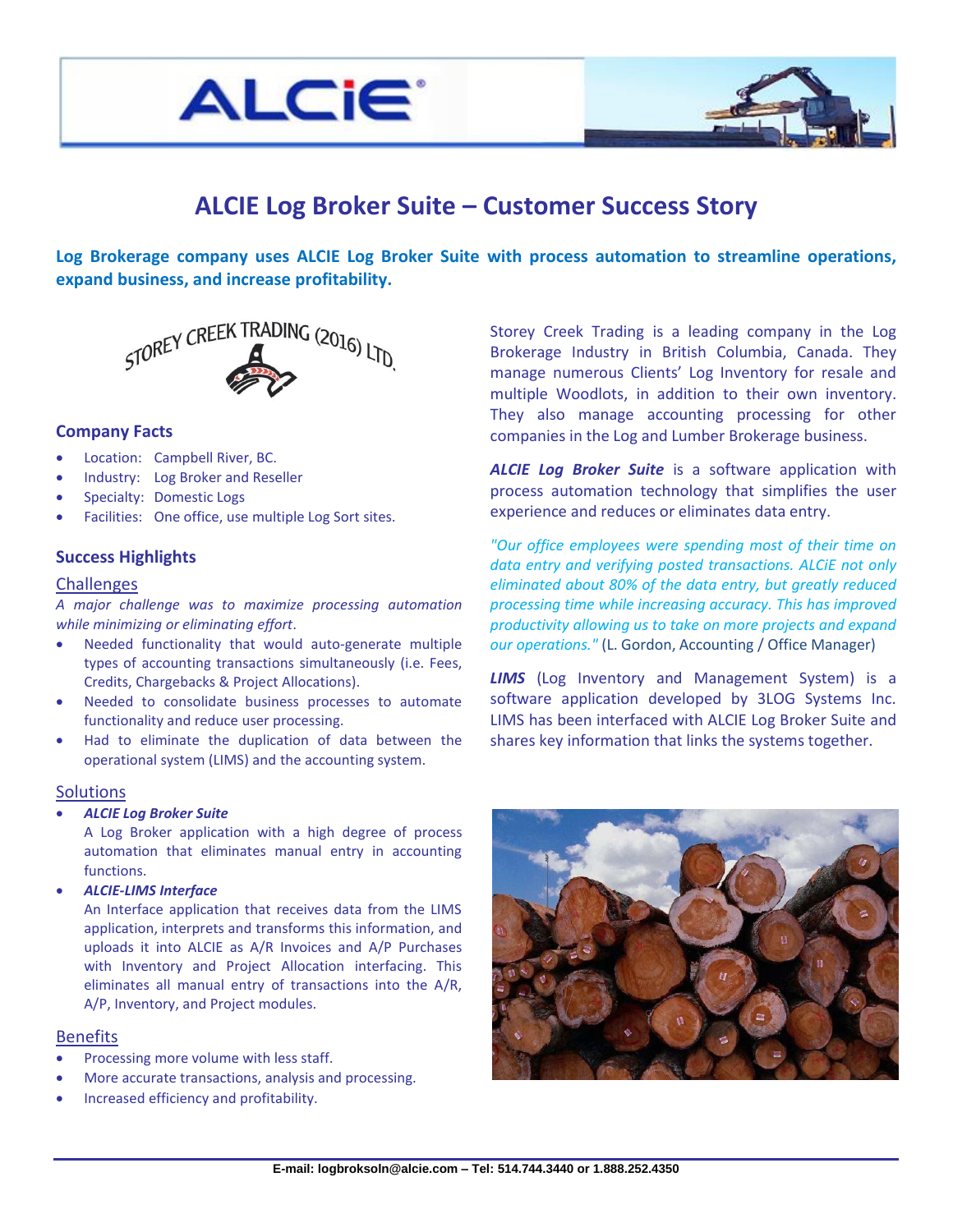



# **ALCIE Log Broker Suite – Customer Success Story**

**Log Brokerage company uses ALCIE Log Broker Suite with process automation to streamline operations, expand business, and increase profitability.**



### **Company Facts**

- Location: Campbell River, BC.
- Industry: Log Broker and Reseller
- Specialty: Domestic Logs
- Facilities: One office, use multiple Log Sort sites.

# **Success Highlights**

# **Challenges**

*A major challenge was to maximize processing automation while minimizing or eliminating effort*.

- Needed functionality that would auto-generate multiple types of accounting transactions simultaneously (i.e. Fees, Credits, Chargebacks & Project Allocations).
- Needed to consolidate business processes to automate functionality and reduce user processing.
- Had to eliminate the duplication of data between the operational system (LIMS) and the accounting system.

#### **Solutions**

*ALCIE Log Broker Suite*

A Log Broker application with a high degree of process automation that eliminates manual entry in accounting functions.

*ALCIE-LIMS Interface*

An Interface application that receives data from the LIMS application, interprets and transforms this information, and uploads it into ALCIE as A/R Invoices and A/P Purchases with Inventory and Project Allocation interfacing. This eliminates all manual entry of transactions into the A/R, A/P, Inventory, and Project modules.

#### **Benefits**

- Processing more volume with less staff.
- More accurate transactions, analysis and processing.
- Increased efficiency and profitability.

Storey Creek Trading is a leading company in the Log Brokerage Industry in British Columbia, Canada. They manage numerous Clients' Log Inventory for resale and multiple Woodlots, in addition to their own inventory. They also manage accounting processing for other companies in the Log and Lumber Brokerage business.

*ALCIE Log Broker Suite* is a software application with process automation technology that simplifies the user experience and reduces or eliminates data entry.

*"Our office employees were spending most of their time on data entry and verifying posted transactions. ALCiE not only eliminated about 80% of the data entry, but greatly reduced processing time while increasing accuracy. This has improved productivity allowing us to take on more projects and expand our operations."* (L. Gordon, Accounting / Office Manager)

*LIMS* (Log Inventory and Management System) is a software application developed by 3LOG Systems Inc. LIMS has been interfaced with ALCIE Log Broker Suite and shares key information that links the systems together.